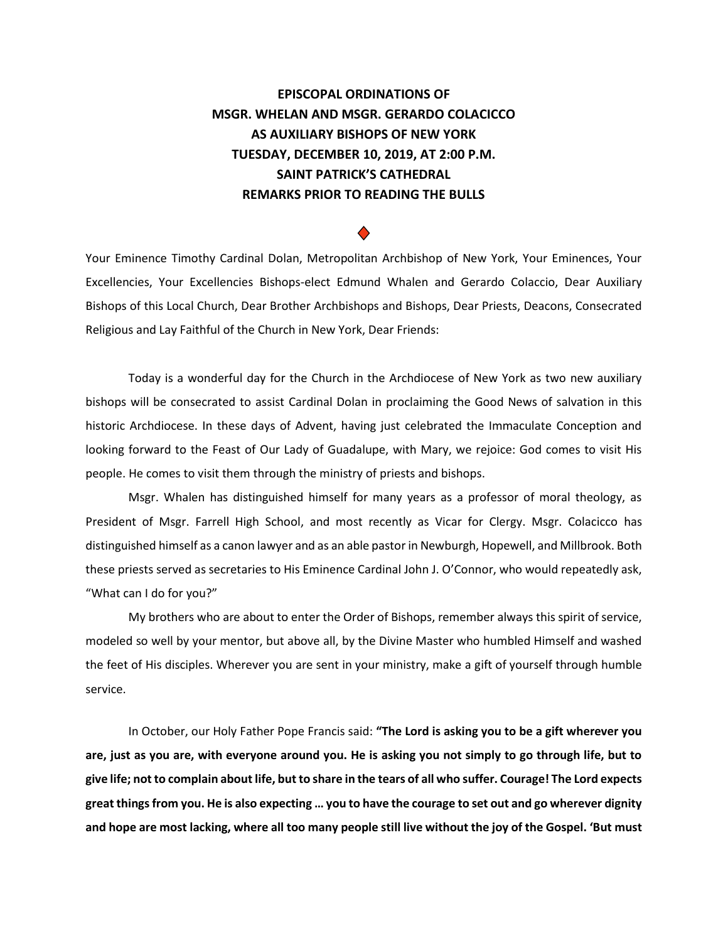## **EPISCOPAL ORDINATIONS OF MSGR. WHELAN AND MSGR. GERARDO COLACICCO AS AUXILIARY BISHOPS OF NEW YORK TUESDAY, DECEMBER 10, 2019, AT 2:00 P.M. SAINT PATRICK'S CATHEDRAL REMARKS PRIOR TO READING THE BULLS**

## ♦

Your Eminence Timothy Cardinal Dolan, Metropolitan Archbishop of New York, Your Eminences, Your Excellencies, Your Excellencies Bishops-elect Edmund Whalen and Gerardo Colaccio, Dear Auxiliary Bishops of this Local Church, Dear Brother Archbishops and Bishops, Dear Priests, Deacons, Consecrated Religious and Lay Faithful of the Church in New York, Dear Friends:

Today is a wonderful day for the Church in the Archdiocese of New York as two new auxiliary bishops will be consecrated to assist Cardinal Dolan in proclaiming the Good News of salvation in this historic Archdiocese. In these days of Advent, having just celebrated the Immaculate Conception and looking forward to the Feast of Our Lady of Guadalupe, with Mary, we rejoice: God comes to visit His people. He comes to visit them through the ministry of priests and bishops.

Msgr. Whalen has distinguished himself for many years as a professor of moral theology, as President of Msgr. Farrell High School, and most recently as Vicar for Clergy. Msgr. Colacicco has distinguished himself as a canon lawyer and as an able pastor in Newburgh, Hopewell, and Millbrook. Both these priests served as secretaries to His Eminence Cardinal John J. O'Connor, who would repeatedly ask, "What can I do for you?"

My brothers who are about to enter the Order of Bishops, remember always this spirit of service, modeled so well by your mentor, but above all, by the Divine Master who humbled Himself and washed the feet of His disciples. Wherever you are sent in your ministry, make a gift of yourself through humble service.

In October, our Holy Father Pope Francis said: **"The Lord is asking you to be a gift wherever you are, just as you are, with everyone around you. He is asking you not simply to go through life, but to give life; not to complain about life, but to share in the tears of all who suffer. Courage! The Lord expects great things from you. He is also expecting … you to have the courage to set out and go wherever dignity and hope are most lacking, where all too many people still live without the joy of the Gospel. 'But must**